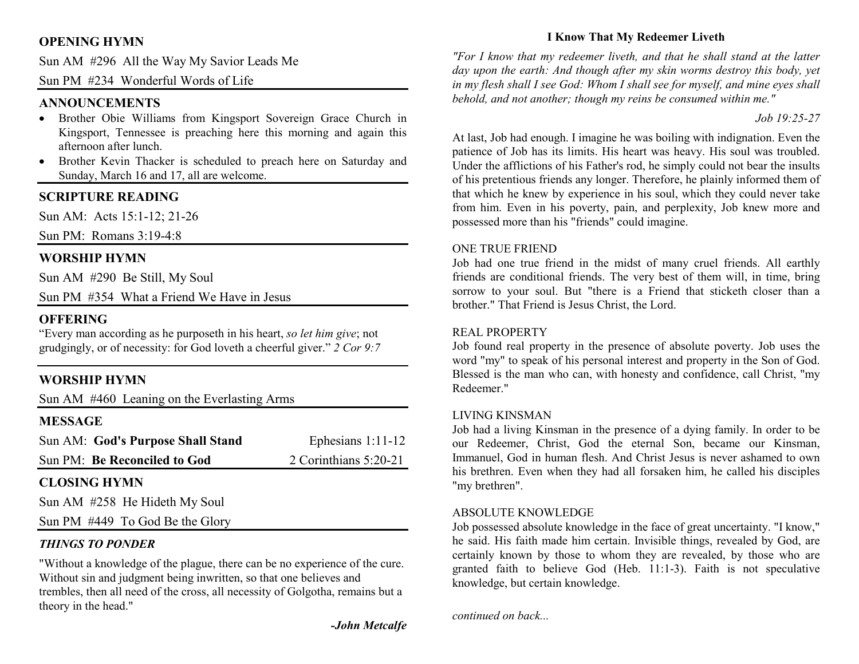# **OPENING HYMN**

Sun AM #296 All the Way My Savior Leads Me

Sun PM #234 Wonderful Words of Life

## **ANNOUNCEMENTS**

- Brother Obie Williams from Kingsport Sovereign Grace Church in Kingsport, Tennessee is preaching here this morning and again this afternoon after lunch.
- Brother Kevin Thacker is scheduled to preach here on Saturday and •Sunday, March 16 and 17, all are welcome.

## **SCRIPTURE READING**

Sun AM: Acts 15:1-12; 21-26

Sun PM: Romans 3:19-4:8

## **WORSHIP HYMN**

Sun AM #290 Be Still, My Soul

Sun PM #354 What a Friend We Have in Jesus

### **OFFERING**

 "Every man according as he purposeth in his heart, *so let him give*; not grudgingly, or of necessity: for God loveth a cheerful giver." *2 Cor 9:7*

## **WORSHIP HYMN**

Sun AM #460 Leaning on the Everlasting Arms

### **MESSAGE**

| Sun AM: God's Purpose Shall Stand | Ephesians $1:11-12$   |
|-----------------------------------|-----------------------|
| Sun PM: Be Reconciled to God      | 2 Corinthians 5:20-21 |

# **CLOSING HYMN**

Sun AM #258 He Hideth My Soul

Sun PM #449 To God Be the Glory

# *THINGS TO PONDER*

"Without a knowledge of the plague, there can be no experience of the cure. Without sin and judgment being inwritten, so that one believes and trembles, then all need of the cross, all necessity of Golgotha, remains but a theory in the head."

*-John Metcalfe* 

# **I Know That My Redeemer Liveth**

*"For I know that my redeemer liveth, and that he shall stand at the latter day upon the earth: And though after my skin worms destroy this body, yet in my flesh shall I see God: Whom I shall see for myself, and mine eyes shall behold, and not another; though my reins be consumed within me."* 

## *Job 19:25-27*

At last, Job had enough. I imagine he was boiling with indignation. Even the patience of Job has its limits. His heart was heavy. His soul was troubled. Under the afflictions of his Father's rod, he simply could not bear the insults of his pretentious friends any longer. Therefore, he plainly informed them of that which he knew by experience in his soul, which they could never take from him. Even in his poverty, pain, and perplexity, Job knew more and possessed more than his "friends" could imagine.

#### ONE TRUE FRIEND

 Job had one true friend in the midst of many cruel friends. All earthly friends are conditional friends. The very best of them will, in time, bring sorrow to your soul. But "there is a Friend that sticketh closer than a brother." That Friend is Jesus Christ, the Lord.

#### REAL PROPERTY

 Job found real property in the presence of absolute poverty. Job uses the word "my" to speak of his personal interest and property in the Son of God. Blessed is the man who can, with honesty and confidence, call Christ, "my Redeemer."

#### LIVING KINSMAN

 Job had a living Kinsman in the presence of a dying family. In order to be our Redeemer, Christ, God the eternal Son, became our Kinsman, Immanuel, God in human flesh. And Christ Jesus is never ashamed to own his brethren. Even when they had all forsaken him, he called his disciples "my brethren".

#### ABSOLUTE KNOWLEDGE

 Job possessed absolute knowledge in the face of great uncertainty. "I know," he said. His faith made him certain. Invisible things, revealed by God, are certainly known by those to whom they are revealed, by those who are granted faith to believe God (Heb. 11:1-3). Faith is not speculative knowledge, but certain knowledge.

*continued on back...*